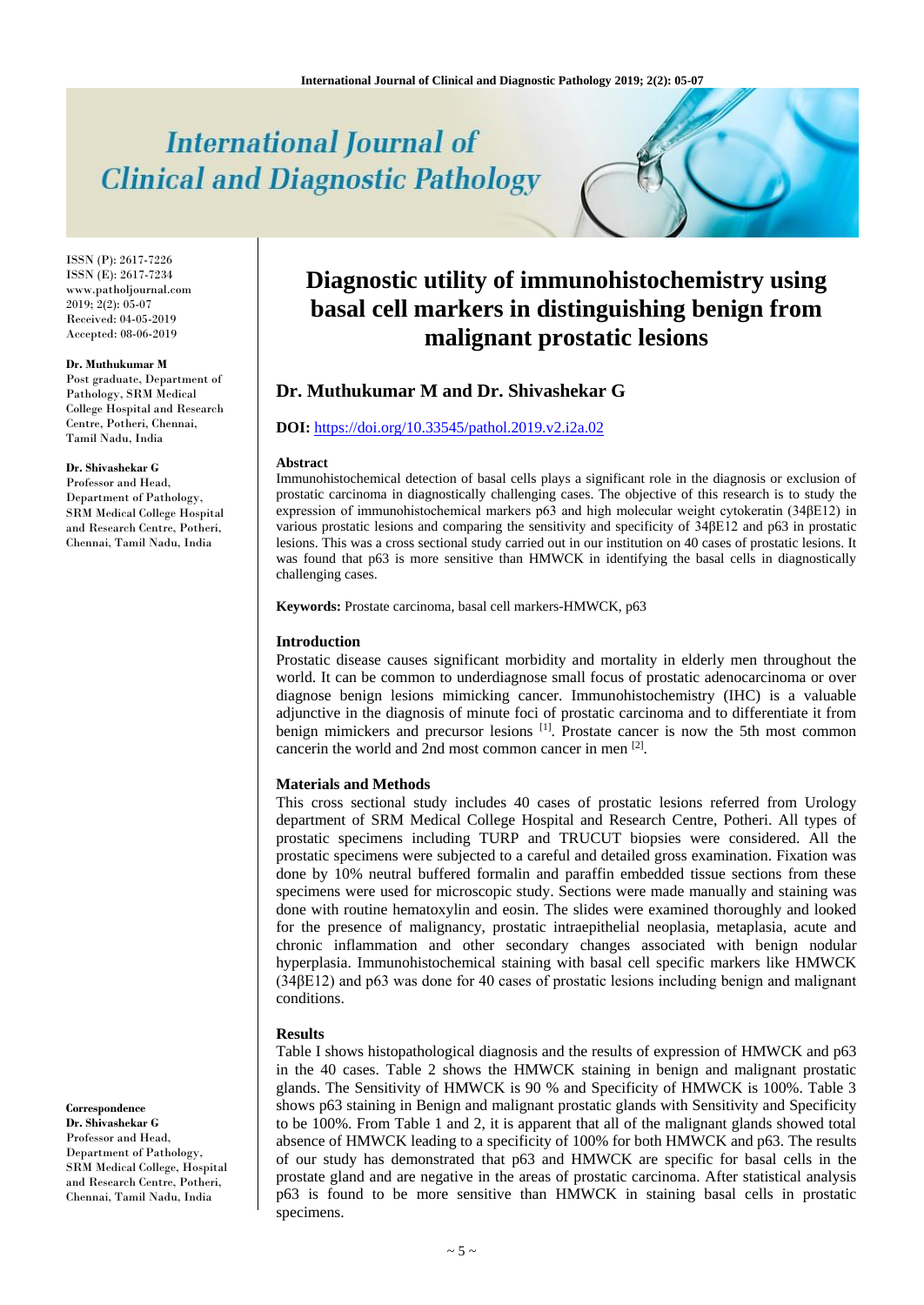# **International Journal of Clinical and Diagnostic Pathology**

ISSN (P): 2617-7226 ISSN (E): 2617-7234 www.patholjournal.com  $2019; 2(2): 05-07$ Received: 04-05-2019 Accepted: 08-06-2019

#### **Dr. Muthukumar M**

Post graduate, Department of Pathology, SRM Medical College Hospital and Research Centre, Potheri, Chennai, Tamil Nadu, India

# **Dr. Shivashekar G**

Professor and Head, Department of Pathology, SRM Medical College Hospital and Research Centre, Potheri, Chennai, Tamil Nadu, India

**Correspondence Dr. Shivashekar G** Professor and Head, Department of Pathology, SRM Medical College, Hospital and Research Centre, Potheri, Chennai, Tamil Nadu, India

# **Diagnostic utility of immunohistochemistry using basal cell markers in distinguishing benign from malignant prostatic lesions**

# **Dr. Muthukumar M and Dr. Shivashekar G**

# **DOI:** <https://doi.org/10.33545/pathol.2019.v2.i2a.02>

#### **Abstract**

Immunohistochemical detection of basal cells plays a significant role in the diagnosis or exclusion of prostatic carcinoma in diagnostically challenging cases. The objective of this research is to study the expression of immunohistochemical markers p63 and high molecular weight cytokeratin (34βE12) in various prostatic lesions and comparing the sensitivity and specificity of 34βE12 and p63 in prostatic lesions. This was a cross sectional study carried out in our institution on 40 cases of prostatic lesions. It was found that p63 is more sensitive than HMWCK in identifying the basal cells in diagnostically challenging cases.

**Keywords:** Prostate carcinoma, basal cell markers-HMWCK, p63

# **Introduction**

Prostatic disease causes significant morbidity and mortality in elderly men throughout the world. It can be common to underdiagnose small focus of prostatic adenocarcinoma or over diagnose benign lesions mimicking cancer. Immunohistochemistry (IHC) is a valuable adjunctive in the diagnosis of minute foci of prostatic carcinoma and to differentiate it from benign mimickers and precursor lesions [1]. Prostate cancer is now the 5th most common cancerin the world and 2nd most common cancer in men [2].

# **Materials and Methods**

This cross sectional study includes 40 cases of prostatic lesions referred from Urology department of SRM Medical College Hospital and Research Centre, Potheri. All types of prostatic specimens including TURP and TRUCUT biopsies were considered. All the prostatic specimens were subjected to a careful and detailed gross examination. Fixation was done by 10% neutral buffered formalin and paraffin embedded tissue sections from these specimens were used for microscopic study. Sections were made manually and staining was done with routine hematoxylin and eosin. The slides were examined thoroughly and looked for the presence of malignancy, prostatic intraepithelial neoplasia, metaplasia, acute and chronic inflammation and other secondary changes associated with benign nodular hyperplasia. Immunohistochemical staining with basal cell specific markers like HMWCK (34βE12) and p63 was done for 40 cases of prostatic lesions including benign and malignant conditions.

# **Results**

Table I shows histopathological diagnosis and the results of expression of HMWCK and p63 in the 40 cases. Table 2 shows the HMWCK staining in benign and malignant prostatic glands. The Sensitivity of HMWCK is 90 % and Specificity of HMWCK is 100%. Table 3 shows p63 staining in Benign and malignant prostatic glands with Sensitivity and Specificity to be 100%. From Table 1 and 2, it is apparent that all of the malignant glands showed total absence of HMWCK leading to a specificity of 100% for both HMWCK and p63. The results of our study has demonstrated that p63 and HMWCK are specific for basal cells in the prostate gland and are negative in the areas of prostatic carcinoma. After statistical analysis p63 is found to be more sensitive than HMWCK in staining basal cells in prostatic specimens.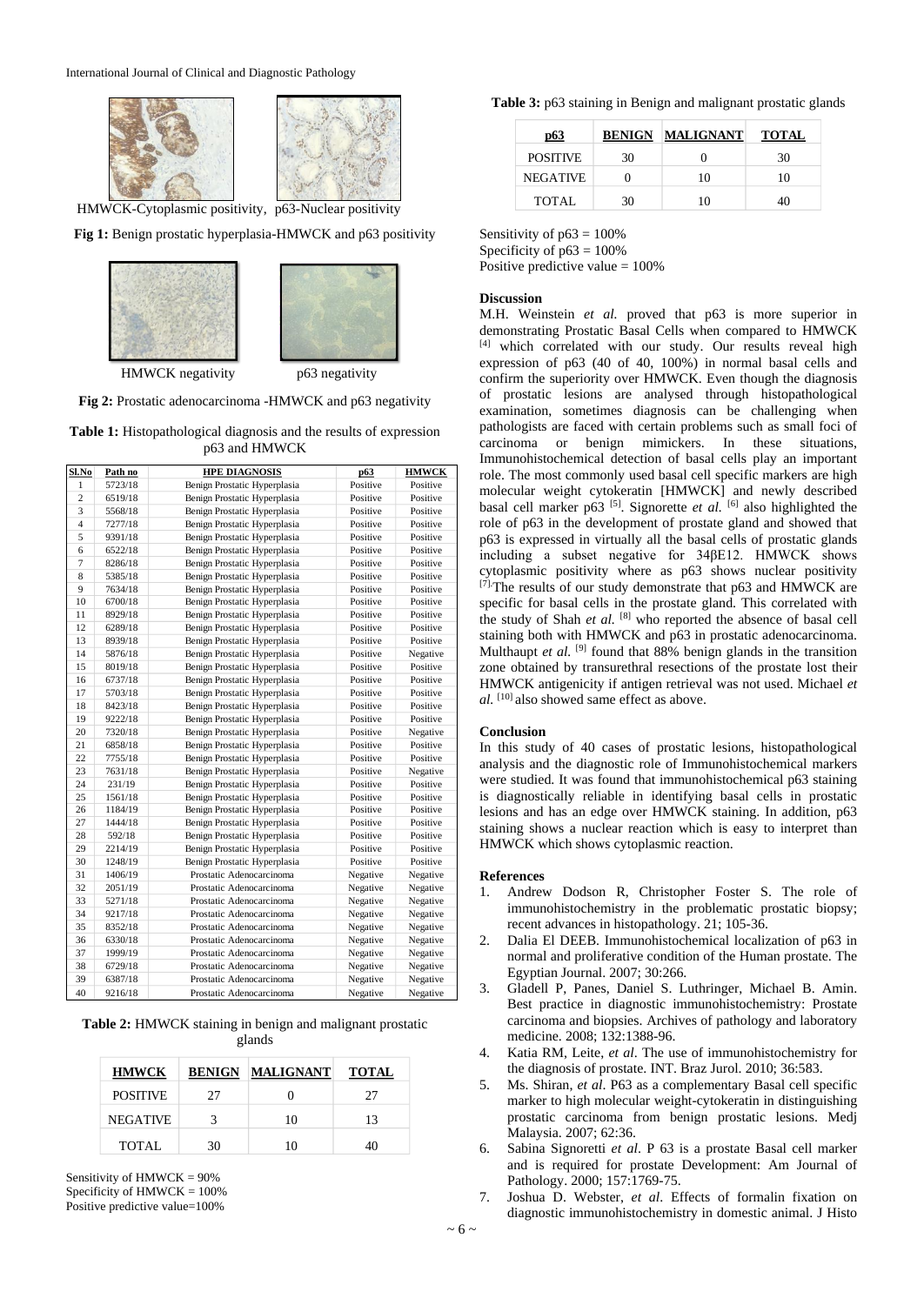

**Fig 1:** Benign prostatic hyperplasia-HMWCK and p63 positivity



**Fig 2:** Prostatic adenocarcinoma -HMWCK and p63 negativity

**Table 1:** Histopathological diagnosis and the results of expression p63 and HMWCK

| Sl.No          | Path no | <b>HPE DIAGNOSIS</b>                     | p63      | <b>HMWCK</b> |
|----------------|---------|------------------------------------------|----------|--------------|
| 1              | 5723/18 | Benign Prostatic Hyperplasia             | Positive | Positive     |
| $\overline{c}$ | 6519/18 | Benign Prostatic Hyperplasia<br>Positive |          | Positive     |
| 3              | 5568/18 | Benign Prostatic Hyperplasia             | Positive |              |
| $\overline{4}$ | 7277/18 | Benign Prostatic Hyperplasia             | Positive | Positive     |
| 5              | 9391/18 | Benign Prostatic Hyperplasia             | Positive | Positive     |
| 6              | 6522/18 | Benign Prostatic Hyperplasia             | Positive | Positive     |
| $\overline{7}$ | 8286/18 | Benign Prostatic Hyperplasia             | Positive | Positive     |
| 8              | 5385/18 | Benign Prostatic Hyperplasia             | Positive | Positive     |
| 9              | 7634/18 | Benign Prostatic Hyperplasia             | Positive | Positive     |
| 10             | 6700/18 | Benign Prostatic Hyperplasia             | Positive | Positive     |
| 11             | 8929/18 | Benign Prostatic Hyperplasia             | Positive | Positive     |
| 12             | 6289/18 | Benign Prostatic Hyperplasia             | Positive | Positive     |
| 13             | 8939/18 | Benign Prostatic Hyperplasia             | Positive | Positive     |
| 14             | 5876/18 | Benign Prostatic Hyperplasia             | Positive | Negative     |
| 15             | 8019/18 | Benign Prostatic Hyperplasia             | Positive | Positive     |
| 16             | 6737/18 | Benign Prostatic Hyperplasia             | Positive | Positive     |
| 17             | 5703/18 | Benign Prostatic Hyperplasia             | Positive | Positive     |
| 18             | 8423/18 | Benign Prostatic Hyperplasia             | Positive | Positive     |
| 19             | 9222/18 | Benign Prostatic Hyperplasia             | Positive | Positive     |
| 20             | 7320/18 | Benign Prostatic Hyperplasia             | Positive | Negative     |
| 21             | 6858/18 | Benign Prostatic Hyperplasia             | Positive | Positive     |
| 22             | 7755/18 | Benign Prostatic Hyperplasia             | Positive | Positive     |
| 23             | 7631/18 | Benign Prostatic Hyperplasia             | Positive | Negative     |
| 24             | 231/19  | Benign Prostatic Hyperplasia             | Positive | Positive     |
| 25             | 1561/18 | Benign Prostatic Hyperplasia             | Positive | Positive     |
| 26             | 1184/19 | Benign Prostatic Hyperplasia             | Positive | Positive     |
| 27             | 1444/18 | Benign Prostatic Hyperplasia             | Positive | Positive     |
| 28             | 592/18  | Benign Prostatic Hyperplasia             | Positive | Positive     |
| 29             | 2214/19 | Benign Prostatic Hyperplasia             | Positive | Positive     |
| 30             | 1248/19 | Benign Prostatic Hyperplasia             | Positive | Positive     |
| 31             | 1406/19 | Prostatic Adenocarcinoma                 | Negative | Negative     |
| 32             | 2051/19 | Prostatic Adenocarcinoma                 | Negative | Negative     |
| 33             | 5271/18 | Prostatic Adenocarcinoma                 | Negative | Negative     |
| 34             | 9217/18 | Prostatic Adenocarcinoma                 | Negative | Negative     |
| 35             | 8352/18 | Prostatic Adenocarcinoma                 | Negative | Negative     |
| 36             | 6330/18 | Prostatic Adenocarcinoma                 | Negative | Negative     |
| 37             | 1999/19 | Prostatic Adenocarcinoma                 | Negative | Negative     |
| 38             | 6729/18 | Prostatic Adenocarcinoma                 | Negative | Negative     |
| 39             | 6387/18 | Prostatic Adenocarcinoma                 | Negative | Negative     |
| 40             | 9216/18 | Prostatic Adenocarcinoma                 | Negative | Negative     |

|        | <b>Table 2:</b> HMWCK staining in benign and malignant prostatic |
|--------|------------------------------------------------------------------|
| glands |                                                                  |

| <b>HMWCK</b>    | <b>BENIGN</b> | <b>MALIGNANT</b> | <b>TOTAL</b> |
|-----------------|---------------|------------------|--------------|
| <b>POSITIVE</b> | 27            |                  | 27           |
| <b>NEGATIVE</b> |               | 10               | 13           |
| TOTAL           | 30            | 10               | 10           |

Sensitivity of HMWCK = 90% Specificity of HMWCK = 100% Positive predictive value=100%

**Table 3:** p63 staining in Benign and malignant prostatic glands

| p63             | <b>BENIGN</b> | <b>MALIGNANT</b> | <b>TOTAL</b> |
|-----------------|---------------|------------------|--------------|
| <b>POSITIVE</b> | 30            |                  | 30           |
| <b>NEGATIVE</b> |               | 10               | 10           |
| <b>TOTAL</b>    | 30            |                  |              |

Sensitivity of  $p63 = 100\%$ 

Specificity of  $p63 = 100\%$ Positive predictive value  $= 100\%$ 

# **Discussion**

M.H. Weinstein *et al.* proved that p63 is more superior in demonstrating Prostatic Basal Cells when compared to HMWCK [4] which correlated with our study. Our results reveal high expression of p63 (40 of 40, 100%) in normal basal cells and confirm the superiority over HMWCK. Even though the diagnosis of prostatic lesions are analysed through histopathological examination, sometimes diagnosis can be challenging when pathologists are faced with certain problems such as small foci of carcinoma or benign mimickers. In these situations, Immunohistochemical detection of basal cells play an important role. The most commonly used basal cell specific markers are high molecular weight cytokeratin [HMWCK] and newly described basal cell marker p63<sup>[5]</sup>. Signorette *et al.* <sup>[6]</sup> also highlighted the role of p63 in the development of prostate gland and showed that p63 is expressed in virtually all the basal cells of prostatic glands including a subset negative for 34βE12. HMWCK shows cytoplasmic positivity where as p63 shows nuclear positivity [7] The results of our study demonstrate that p63 and HMWCK are specific for basal cells in the prostate gland. This correlated with the study of Shah *et al.* [8] who reported the absence of basal cell staining both with HMWCK and p63 in prostatic adenocarcinoma. Multhaupt *et al.* <sup>[9]</sup> found that 88% benign glands in the transition zone obtained by transurethral resections of the prostate lost their HMWCK antigenicity if antigen retrieval was not used. Michael *et al.* [10] also showed same effect as above.

#### **Conclusion**

In this study of 40 cases of prostatic lesions, histopathological analysis and the diagnostic role of Immunohistochemical markers were studied. It was found that immunohistochemical p63 staining is diagnostically reliable in identifying basal cells in prostatic lesions and has an edge over HMWCK staining. In addition, p63 staining shows a nuclear reaction which is easy to interpret than HMWCK which shows cytoplasmic reaction.

### **References**

- 1. Andrew Dodson R, Christopher Foster S. The role of immunohistochemistry in the problematic prostatic biopsy; recent advances in histopathology. 21; 105-36.
- 2. Dalia El DEEB. Immunohistochemical localization of p63 in normal and proliferative condition of the Human prostate. The Egyptian Journal. 2007; 30:266.
- 3. Gladell P, Panes, Daniel S. Luthringer, Michael B. Amin. Best practice in diagnostic immunohistochemistry: Prostate carcinoma and biopsies. Archives of pathology and laboratory medicine. 2008; 132:1388-96.
- 4. Katia RM, Leite, *et al*. The use of immunohistochemistry for the diagnosis of prostate. INT. Braz Jurol. 2010; 36:583.
- 5. Ms. Shiran, *et al*. P63 as a complementary Basal cell specific marker to high molecular weight-cytokeratin in distinguishing prostatic carcinoma from benign prostatic lesions. Medj Malaysia. 2007; 62:36.
- 6. Sabina Signoretti *et al*. P 63 is a prostate Basal cell marker and is required for prostate Development: Am Journal of Pathology. 2000; 157:1769-75.
- 7. Joshua D. Webster, *et al*. Effects of formalin fixation on diagnostic immunohistochemistry in domestic animal. J Histo